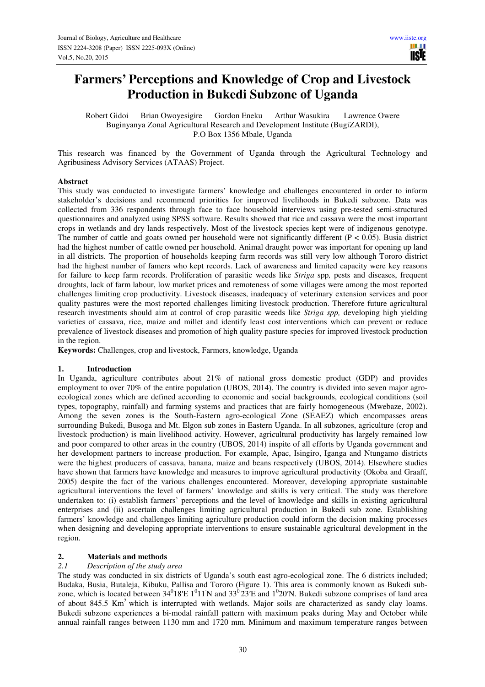## **Farmers' Perceptions and Knowledge of Crop and Livestock Production in Bukedi Subzone of Uganda**

Robert Gidoi Brian Owoyesigire Gordon Eneku Arthur Wasukira Lawrence Owere Buginyanya Zonal Agricultural Research and Development Institute (BugiZARDI), P.O Box 1356 Mbale, Uganda

This research was financed by the Government of Uganda through the Agricultural Technology and Agribusiness Advisory Services (ATAAS) Project.

## **Abstract**

This study was conducted to investigate farmers' knowledge and challenges encountered in order to inform stakeholder's decisions and recommend priorities for improved livelihoods in Bukedi subzone. Data was collected from 336 respondents through face to face household interviews using pre-tested semi-structured questionnaires and analyzed using SPSS software. Results showed that rice and cassava were the most important crops in wetlands and dry lands respectively. Most of the livestock species kept were of indigenous genotype. The number of cattle and goats owned per household were not significantly different ( $P < 0.05$ ). Busia district had the highest number of cattle owned per household. Animal draught power was important for opening up land in all districts. The proportion of households keeping farm records was still very low although Tororo district had the highest number of famers who kept records. Lack of awareness and limited capacity were key reasons for failure to keep farm records. Proliferation of parasitic weeds like *Striga* spp*,* pests and diseases, frequent droughts, lack of farm labour, low market prices and remoteness of some villages were among the most reported challenges limiting crop productivity. Livestock diseases, inadequacy of veterinary extension services and poor quality pastures were the most reported challenges limiting livestock production. Therefore future agricultural research investments should aim at control of crop parasitic weeds like *Striga spp,* developing high yielding varieties of cassava, rice, maize and millet and identify least cost interventions which can prevent or reduce prevalence of livestock diseases and promotion of high quality pasture species for improved livestock production in the region.

**Keywords:** Challenges, crop and livestock, Farmers, knowledge, Uganda

## **1. Introduction**

In Uganda, agriculture contributes about 21% of national gross domestic product (GDP) and provides employment to over 70% of the entire population (UBOS, 2014). The country is divided into seven major agroecological zones which are defined according to economic and social backgrounds, ecological conditions (soil types, topography, rainfall) and farming systems and practices that are fairly homogeneous (Mwebaze, 2002). Among the seven zones is the South-Eastern agro-ecological Zone (SEAEZ) which encompasses areas surrounding Bukedi, Busoga and Mt. Elgon sub zones in Eastern Uganda. In all subzones, agriculture (crop and livestock production) is main livelihood activity. However, agricultural productivity has largely remained low and poor compared to other areas in the country (UBOS, 2014) inspite of all efforts by Uganda government and her development partners to increase production. For example, Apac, Isingiro, Iganga and Ntungamo districts were the highest producers of cassava, banana, maize and beans respectively (UBOS, 2014). Elsewhere studies have shown that farmers have knowledge and measures to improve agricultural productivity (Okoba and Graaff, 2005) despite the fact of the various challenges encountered. Moreover, developing appropriate sustainable agricultural interventions the level of farmers' knowledge and skills is very critical. The study was therefore undertaken to: (i) establish farmers' perceptions and the level of knowledge and skills in existing agricultural enterprises and (ii) ascertain challenges limiting agricultural production in Bukedi sub zone. Establishing farmers' knowledge and challenges limiting agriculture production could inform the decision making processes when designing and developing appropriate interventions to ensure sustainable agricultural development in the region.

## **2. Materials and methods**

## *2.1 Description of the study area*

The study was conducted in six districts of Uganda's south east agro-ecological zone. The 6 districts included; Budaka, Busia, Butaleja, Kibuku, Pallisa and Tororo (Figure 1). This area is commonly known as Bukedi subzone, which is located between  $34^018'E 1^011'N$  and  $33^023'E$  and  $1^020'N$ . Bukedi subzone comprises of land area of about 845.5 Km<sup>2</sup> which is interrupted with wetlands. Major soils are characterized as sandy clay loams. Bukedi subzone experiences a bi-modal rainfall pattern with maximum peaks during May and October while annual rainfall ranges between 1130 mm and 1720 mm. Minimum and maximum temperature ranges between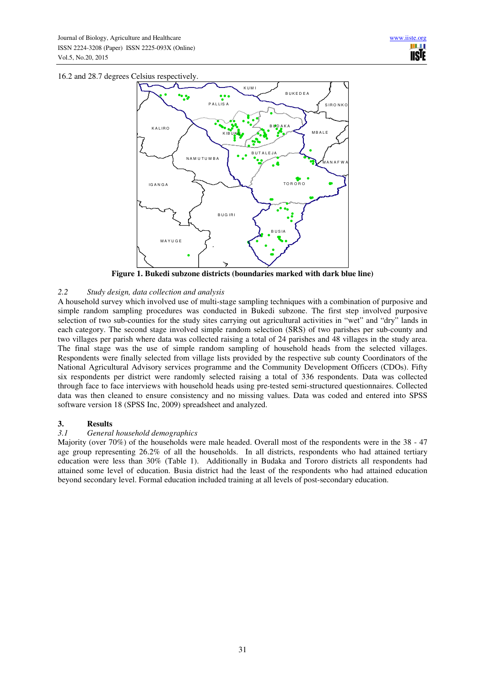16.2 and 28.7 degrees Celsius respectively.



**Figure 1. Bukedi subzone districts (boundaries marked with dark blue line)** 

## *2.2 Study design, data collection and analysis*

A household survey which involved use of multi-stage sampling techniques with a combination of purposive and simple random sampling procedures was conducted in Bukedi subzone. The first step involved purposive selection of two sub-counties for the study sites carrying out agricultural activities in "wet" and "dry" lands in each category. The second stage involved simple random selection (SRS) of two parishes per sub-county and two villages per parish where data was collected raising a total of 24 parishes and 48 villages in the study area. The final stage was the use of simple random sampling of household heads from the selected villages. Respondents were finally selected from village lists provided by the respective sub county Coordinators of the National Agricultural Advisory services programme and the Community Development Officers (CDOs). Fifty six respondents per district were randomly selected raising a total of 336 respondents. Data was collected through face to face interviews with household heads using pre-tested semi-structured questionnaires. Collected data was then cleaned to ensure consistency and no missing values. Data was coded and entered into SPSS software version 18 (SPSS Inc, 2009) spreadsheet and analyzed.

# **3. Results**<br> **3.1 General**

## *3.1 General household demographics*

Majority (over 70%) of the households were male headed. Overall most of the respondents were in the 38 - 47 age group representing 26.2% of all the households. In all districts, respondents who had attained tertiary education were less than 30% (Table 1). Additionally in Budaka and Tororo districts all respondents had attained some level of education. Busia district had the least of the respondents who had attained education beyond secondary level. Formal education included training at all levels of post-secondary education.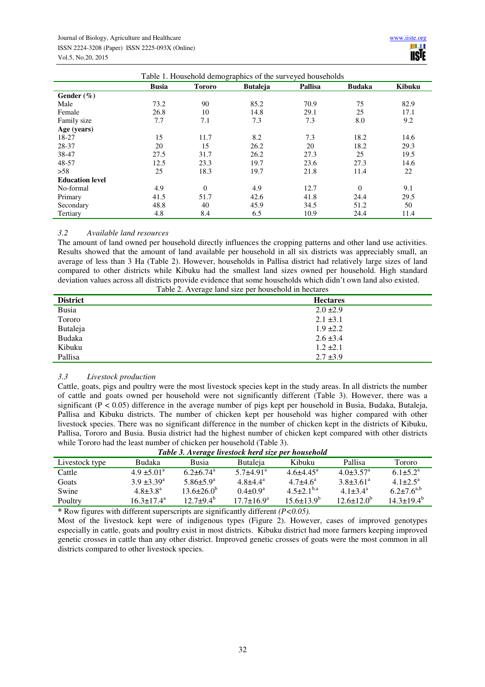| Table 1. Household demographics of the surveyed households |              |               |                 |         |               |               |  |
|------------------------------------------------------------|--------------|---------------|-----------------|---------|---------------|---------------|--|
|                                                            | <b>Busia</b> | <b>Tororo</b> | <b>Butaleja</b> | Pallisa | <b>Budaka</b> | <b>Kibuku</b> |  |
| Gender $(\% )$                                             |              |               |                 |         |               |               |  |
| Male                                                       | 73.2         | 90            | 85.2            | 70.9    | 75            | 82.9          |  |
| Female                                                     | 26.8         | 10            | 14.8            | 29.1    | 25            | 17.1          |  |
| Family size                                                | 7.7          | 7.1           | 7.3             | 7.3     | 8.0           | 9.2           |  |
| Age (years)                                                |              |               |                 |         |               |               |  |
| 18-27                                                      | 15           | 11.7          | 8.2             | 7.3     | 18.2          | 14.6          |  |
| 28-37                                                      | 20           | 15            | 26.2            | 20      | 18.2          | 29.3          |  |
| 38-47                                                      | 27.5         | 31.7          | 26.2            | 27.3    | 25            | 19.5          |  |
| 48-57                                                      | 12.5         | 23.3          | 19.7            | 23.6    | 27.3          | 14.6          |  |
| >58                                                        | 25           | 18.3          | 19.7            | 21.8    | 11.4          | 22            |  |
| <b>Education level</b>                                     |              |               |                 |         |               |               |  |
| No-formal                                                  | 4.9          | $\theta$      | 4.9             | 12.7    | $\theta$      | 9.1           |  |
| Primary                                                    | 41.5         | 51.7          | 42.6            | 41.8    | 24.4          | 29.5          |  |
| Secondary                                                  | 48.8         | 40            | 45.9            | 34.5    | 51.2          | 50            |  |
| Tertiary                                                   | 4.8          | 8.4           | 6.5             | 10.9    | 24.4          | 11.4          |  |

## *3.2 Available land resources*

The amount of land owned per household directly influences the cropping patterns and other land use activities. Results showed that the amount of land available per household in all six districts was appreciably small, an average of less than 3 Ha (Table 2). However, households in Pallisa district had relatively large sizes of land compared to other districts while Kibuku had the smallest land sizes owned per household. High standard deviation values across all districts provide evidence that some households which didn't own land also existed.

| Table 2. Average land size per household in hectares |  |
|------------------------------------------------------|--|
|------------------------------------------------------|--|

| <b>District</b> | <b>Hectares</b> |
|-----------------|-----------------|
| <b>Busia</b>    | $2.0 \pm 2.9$   |
| Tororo          | $2.1 \pm 3.1$   |
| Butaleja        | $1.9 \pm 2.2$   |
| <b>Budaka</b>   | $2.6 \pm 3.4$   |
| Kibuku          | $1.2 \pm 2.1$   |
| Pallisa         | $2.7 \pm 3.9$   |

## *3.3 Livestock production*

Cattle, goats, pigs and poultry were the most livestock species kept in the study areas. In all districts the number of cattle and goats owned per household were not significantly different (Table 3). However, there was a significant ( $P < 0.05$ ) difference in the average number of pigs kept per household in Busia, Budaka, Butaleja, Pallisa and Kibuku districts. The number of chicken kept per household was higher compared with other livestock species. There was no significant difference in the number of chicken kept in the districts of Kibuku, Pallisa, Tororo and Busia. Busia district had the highest number of chicken kept compared with other districts while Tororo had the least number of chicken per household (Table 3).<br>Table 3, Average livestack herd size per

| Table 3. Average livestock herd size per household |                            |                           |                           |                     |                             |                        |  |  |
|----------------------------------------------------|----------------------------|---------------------------|---------------------------|---------------------|-----------------------------|------------------------|--|--|
| Livestock type                                     | <b>Budaka</b>              | Busia                     | <b>Butaleja</b>           | Kibuku              | Pallisa                     | Tororo                 |  |  |
| Cattle                                             | $4.9 \pm 5.01^{\circ}$     | $6.2 + 6.74$ <sup>a</sup> | $5.7 + 4.91$ <sup>a</sup> | $4.6 + 4.45^a$      | $4.0 \pm 3.57$ <sup>a</sup> | $6.1 + 5.2^a$          |  |  |
| Goats                                              | $3.9 \pm 3.39^{\text{a}}$  | $5.86 \pm 5.9^{\rm a}$    | $4.8{\pm}4.4^{a}$         | $4.7 + 4.6^a$       | $3.8 \pm 3.61^a$            | $4.1 + 2.5^{\text{a}}$ |  |  |
| Swine                                              | $4.8 \pm 3.8^a$            | $13.6 \pm 26.0^b$         | $0.4 \pm 0.9^a$           | $4.5 \pm 2.1^{b,a}$ | $4.1 + 3.4^a$               | $6.2 \pm 7.6^{a,b}$    |  |  |
| Poultry                                            | $16.3 \pm 17.4^{\text{a}}$ | $12.7\pm9.4^{\rm b}$      | $17.7 + 16.9^a$           | $15.6 \pm 13.9^b$   | $12.6 \pm 12.0^b$           | $14.3 \pm 19.4^b$      |  |  |

**\*** Row figures with different superscripts are significantly different *(P<0.05).*

Most of the livestock kept were of indigenous types (Figure 2). However, cases of improved genotypes especially in cattle, goats and poultry exist in most districts. Kibuku district had more farmers keeping improved genetic crosses in cattle than any other district. Improved genetic crosses of goats were the most common in all districts compared to other livestock species.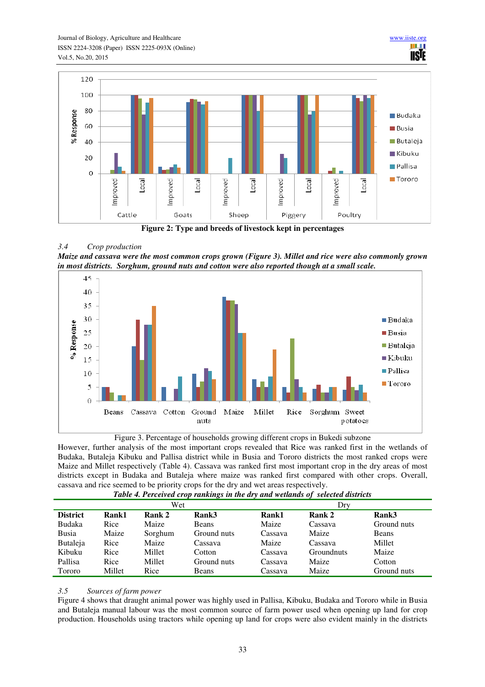

**Figure 2: Type and breeds of livestock kept in percentages** 

## *3.4 Crop production*

*Maize and cassava were the most common crops grown (Figure 3). Millet and rice were also commonly grown in most districts. Sorghum, ground nuts and cotton were also reported though at a small scale.* 





However, further analysis of the most important crops revealed that Rice was ranked first in the wetlands of Budaka, Butaleja Kibuku and Pallisa district while in Busia and Tororo districts the most ranked crops were Maize and Millet respectively (Table 4). Cassava was ranked first most important crop in the dry areas of most districts except in Budaka and Butaleja where maize was ranked first compared with other crops. Overall, cassava and rice seemed to be priority crops for the dry and wet areas respectively.

| Twele it's creered erop runnings in the ury and memmas of selected also leas |        |         |              |         |                   |             |  |
|------------------------------------------------------------------------------|--------|---------|--------------|---------|-------------------|-------------|--|
| Wet                                                                          |        |         |              | Dry     |                   |             |  |
| <b>District</b>                                                              | Rank1  | Rank 2  | Rank3        | Rank1   | Rank 2            | Rank3       |  |
| Budaka                                                                       | Rice   | Maize   | <b>Beans</b> | Maize   | Cassava           | Ground nuts |  |
| Busia                                                                        | Maize  | Sorghum | Ground nuts  | Cassava | Maize             | Beans       |  |
| Butaleja                                                                     | Rice   | Maize   | Cassava      | Maize   | Cassava           | Millet      |  |
| Kibuku                                                                       | Rice   | Millet  | Cotton       | Cassava | <b>Groundnuts</b> | Maize       |  |
| Pallisa                                                                      | Rice   | Millet  | Ground nuts  | Cassava | Maize             | Cotton      |  |
| Tororo                                                                       | Millet | Rice    | <b>Beans</b> | Cassava | Maize             | Ground nuts |  |

|  |  |  | Table 4. Perceived crop rankings in the dry and wetlands of selected districts |
|--|--|--|--------------------------------------------------------------------------------|

## *3.5 Sources of farm power*

Figure 4 shows that draught animal power was highly used in Pallisa, Kibuku, Budaka and Tororo while in Busia and Butaleja manual labour was the most common source of farm power used when opening up land for crop production. Households using tractors while opening up land for crops were also evident mainly in the districts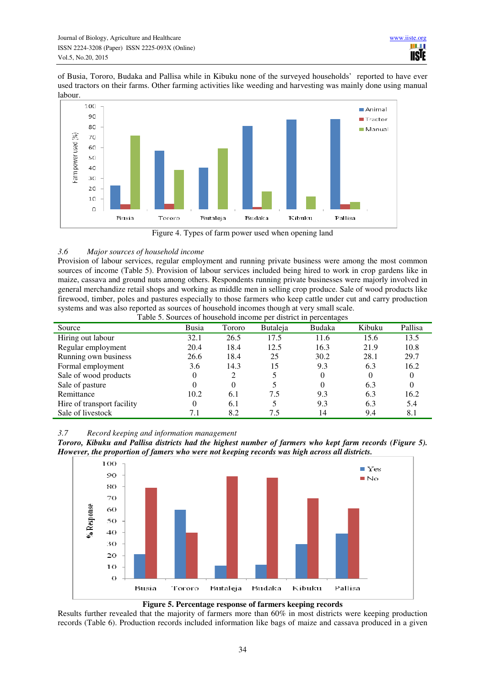of Busia, Tororo, Budaka and Pallisa while in Kibuku none of the surveyed households' reported to have ever used tractors on their farms. Other farming activities like weeding and harvesting was mainly done using manual labour.



Figure 4. Types of farm power used when opening land

## *3.6 Major sources of household income*

Provision of labour services, regular employment and running private business were among the most common sources of income (Table 5). Provision of labour services included being hired to work in crop gardens like in maize, cassava and ground nuts among others. Respondents running private businesses were majorly involved in general merchandize retail shops and working as middle men in selling crop produce. Sale of wood products like firewood, timber, poles and pastures especially to those farmers who keep cattle under cut and carry production systems and was also reported as sources of household incomes though at very small scale. Table 5. Sources of household income per district in percentages

|                            |          |        |                 | Tuble 5: Sources of household meeting per district in percentages |                |          |
|----------------------------|----------|--------|-----------------|-------------------------------------------------------------------|----------------|----------|
| Source                     | Busia    | Tororo | <b>Butaleja</b> | Budaka                                                            | Kibuku         | Pallisa  |
| Hiring out labour          | 32.1     | 26.5   | 17.5            | 11.6                                                              | 15.6           | 13.5     |
| Regular employment         | 20.4     | 18.4   | 12.5            | 16.3                                                              | 21.9           | 10.8     |
| Running own business       | 26.6     | 18.4   | 25              | 30.2                                                              | 28.1           | 29.7     |
| Formal employment          | 3.6      | 14.3   | 15              | 9.3                                                               | 6.3            | 16.2     |
| Sale of wood products      | $\Omega$ |        |                 | 0                                                                 | $\overline{0}$ | $\theta$ |
| Sale of pasture            |          | 0      |                 | 0                                                                 | 6.3            | $\theta$ |
| Remittance                 | 10.2     | 6.1    | 7.5             | 9.3                                                               | 6.3            | 16.2     |
| Hire of transport facility | $\theta$ | 6.1    |                 | 9.3                                                               | 6.3            | 5.4      |
| Sale of livestock          | 7.1      | 8.2    | 7.5             | 14                                                                | 9.4            | 8.1      |

*3.7 Record keeping and information management* 







Results further revealed that the majority of farmers more than 60% in most districts were keeping production records (Table 6). Production records included information like bags of maize and cassava produced in a given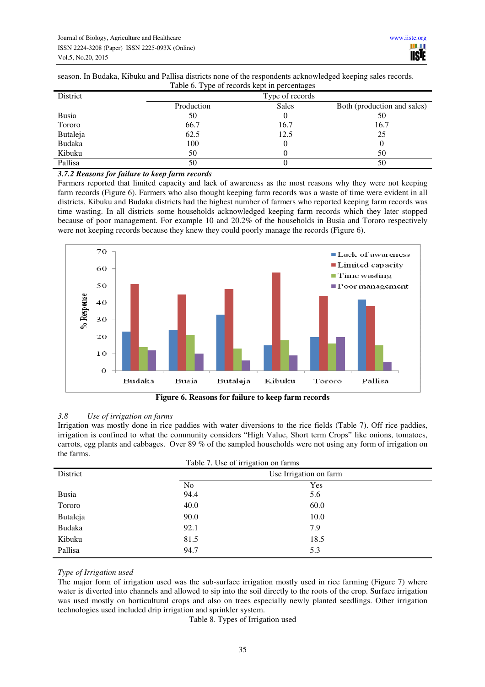season. In Budaka, Kibuku and Pallisa districts none of the respondents acknowledged keeping sales records. Table 6. Type of records kept in percentages

|            | Type of records |                             |
|------------|-----------------|-----------------------------|
| Production | <b>Sales</b>    | Both (production and sales) |
| 50         |                 | 50                          |
| 66.7       | 16.7            | 16.7                        |
| 62.5       | 12.5            | 25                          |
| 100        |                 |                             |
| 50         |                 | 50                          |
| 50         |                 | 50                          |
|            |                 |                             |

## *3.7.2 Reasons for failure to keep farm records*

Farmers reported that limited capacity and lack of awareness as the most reasons why they were not keeping farm records (Figure 6). Farmers who also thought keeping farm records was a waste of time were evident in all districts. Kibuku and Budaka districts had the highest number of farmers who reported keeping farm records was time wasting. In all districts some households acknowledged keeping farm records which they later stopped because of poor management. For example 10 and 20.2% of the households in Busia and Tororo respectively were not keeping records because they knew they could poorly manage the records (Figure 6).



**Figure 6. Reasons for failure to keep farm records** 

## *3.8 Use of irrigation on farms*

Irrigation was mostly done in rice paddies with water diversions to the rice fields (Table 7). Off rice paddies, irrigation is confined to what the community considers "High Value, Short term Crops" like onions, tomatoes, carrots, egg plants and cabbages. Over 89 % of the sampled households were not using any form of irrigation on the farms.

| Table 7. Use of irrigation on farms |                        |      |  |  |  |  |
|-------------------------------------|------------------------|------|--|--|--|--|
| District                            | Use Irrigation on farm |      |  |  |  |  |
|                                     | N <sub>o</sub>         | Yes  |  |  |  |  |
| Busia                               | 94.4                   | 5.6  |  |  |  |  |
| Tororo                              | 40.0                   | 60.0 |  |  |  |  |
| Butaleja                            | 90.0                   | 10.0 |  |  |  |  |
| Budaka                              | 92.1                   | 7.9  |  |  |  |  |
| Kibuku                              | 81.5                   | 18.5 |  |  |  |  |
| Pallisa                             | 94.7                   | 5.3  |  |  |  |  |

## *Type of Irrigation used*

The major form of irrigation used was the sub-surface irrigation mostly used in rice farming (Figure 7) where water is diverted into channels and allowed to sip into the soil directly to the roots of the crop. Surface irrigation was used mostly on horticultural crops and also on trees especially newly planted seedlings. Other irrigation technologies used included drip irrigation and sprinkler system.

Table 8. Types of Irrigation used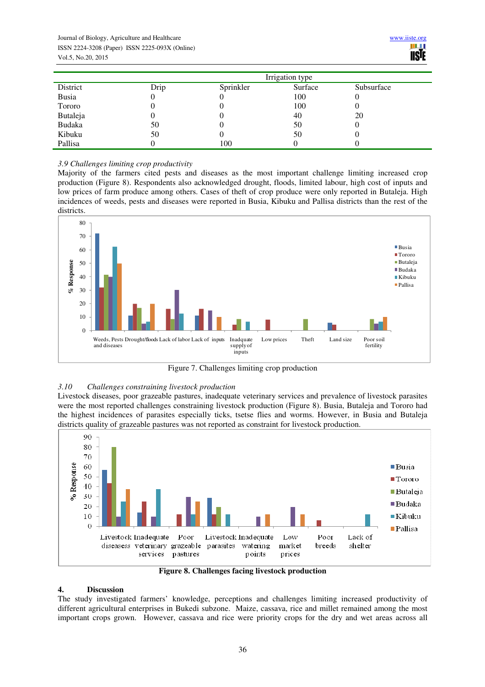|              | Irrigation type |           |         |            |  |  |
|--------------|-----------------|-----------|---------|------------|--|--|
| District     | Drip            | Sprinkler | Surface | Subsurface |  |  |
| <b>Busia</b> |                 |           | 100     | U          |  |  |
| Tororo       |                 |           | 100     | U          |  |  |
| Butaleja     |                 |           | 40      | 20         |  |  |
| Budaka       | 50              |           | 50      | U          |  |  |
| Kibuku       | 50              |           | 50      | O          |  |  |
| Pallisa      |                 | 100       |         |            |  |  |

## *3.9 Challenges limiting crop productivity*

Majority of the farmers cited pests and diseases as the most important challenge limiting increased crop production (Figure 8). Respondents also acknowledged drought, floods, limited labour, high cost of inputs and low prices of farm produce among others. Cases of theft of crop produce were only reported in Butaleja. High incidences of weeds, pests and diseases were reported in Busia, Kibuku and Pallisa districts than the rest of the districts.



Figure 7. Challenges limiting crop production

## *3.10 Challenges constraining livestock production*

Livestock diseases, poor grazeable pastures, inadequate veterinary services and prevalence of livestock parasites were the most reported challenges constraining livestock production (Figure 8). Busia, Butaleja and Tororo had the highest incidences of parasites especially ticks, tsetse flies and worms. However, in Busia and Butaleja districts quality of grazeable pastures was not reported as constraint for livestock production.



**Figure 8. Challenges facing livestock production** 

## **4. Discussion**

The study investigated farmers' knowledge, perceptions and challenges limiting increased productivity of different agricultural enterprises in Bukedi subzone. Maize, cassava, rice and millet remained among the most important crops grown.However, cassava and rice were priority crops for the dry and wet areas across all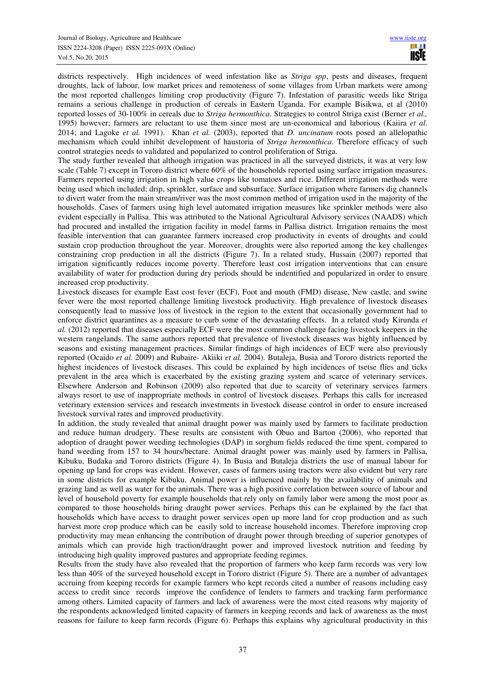districts respectively. High incidences of weed infestation like as *Striga spp*, pests and diseases, frequent droughts, lack of labour, low market prices and remoteness of some villages from Urban markets were among the most reported challenges limiting crop productivity (Figure 7). Infestation of parasitic weeds like Striga remains a serious challenge in production of cereals in Eastern Uganda. For example Bisikwa, et al (2010) reported losses of 30-100% in cereals due to *Striga hermonthica*. Strategies to control Striga exist (Berner *et al.,* 1995) however; farmers are reluctant to use them since most are un-economical and laborious (Kaiira *et al*. 2014; and Lagoke *et al.* 1991). Khan *et al.* (2003), reported that *D. uncinatum* roots posed an allelopathic mechanism which could inhibit development of haustoria of *Striga hermonthica*. Therefore efficacy of such control strategies needs to validated and popularized to control proliferation of Striga.

The study further revealed that although irrigation was practiced in all the surveyed districts, it was at very low scale (Table 7) except in Tororo district where 60% of the households reported using surface irrigation measures. Farmers reported using irrigation in high value crops like tomatoes and rice. Different irrigation methods were being used which included; drip, sprinkler, surface and subsurface. Surface irrigation where farmers dig channels to divert water from the main stream/river was the most common method of irrigation used in the majority of the households. Cases of farmers using high level automated irrigation measures like sprinkler methods were also evident especially in Pallisa. This was attributed to the National Agricultural Advisory services (NAADS) which had procured and installed the irrigation facility in model farms in Pallisa district. Irrigation remains the most feasible intervention that can guarantee farmers increased crop productivity in events of droughts and could sustain crop production throughout the year. Moreover, droughts were also reported among the key challenges constraining crop production in all the districts (Figure 7). In a related study, Hussain (2007) reported that irrigation significantly reduces income poverty. Therefore least cost irrigation interventions that can ensure availability of water for production during dry periods should be indentified and popularized in order to ensure increased crop productivity.

Livestock diseases for example East cost fever (ECF), Foot and mouth (FMD) disease, New castle, and swine fever were the most reported challenge limiting livestock productivity. High prevalence of livestock diseases consequently lead to massive loss of livestock in the region to the extent that occasionally government had to enforce district quarantines as a measure to curb some of the devastating effects. In a related study Kirunda *et al.* (2012) reported that diseases especially ECF were the most common challenge facing livestock keepers in the western rangelands. The same authors reported that prevalence of livestock diseases was highly influenced by seasons and existing management practices. Similar findings of high incidences of ECF were also previously reported (Ocaido *et al.* 2009) and Rubaire- Akiiki *et al.* 2004). Butaleja, Busia and Tororo districts reported the highest incidences of livestock diseases. This could be explained by high incidences of tsetse flies and ticks prevalent in the area which is exacerbated by the existing grazing system and scarce of veterinary services. Elsewhere Anderson and Robinson (2009) also reported that due to scarcity of veterinary services farmers always resort to use of inappropriate methods in control of livestock diseases. Perhaps this calls for increased veterinary extension services and research investments in livestock disease control in order to ensure increased livestock survival rates and improved productivity.

In addition, the study revealed that animal draught power was mainly used by farmers to facilitate production and reduce human drudgery. These results are consistent with Obuo and Barton (2006), who reported that adoption of draught power weeding technologies (DAP) in sorghum fields reduced the time spent, compared to hand weeding from 157 to 34 hours/hectare. Animal draught power was mainly used by farmers in Pallisa, Kibuku, Budaka and Tororo districts (Figure 4). In Busia and Butaleja districts the use of manual labour for opening up land for crops was evident. However, cases of farmers using tractors were also evident but very rare in some districts for example Kibuku. Animal power is influenced mainly by the availability of animals and grazing land as well as water for the animals. There was a high positive correlation between source of labour and level of household poverty for example households that rely only on family labor were among the most poor as compared to those households hiring draught power services. Perhaps this can be explained by the fact that households which have access to draught power services open up more land for crop production and as such harvest more crop produce which can be easily sold to increase household incomes. Therefore improving crop productivity may mean enhancing the contribution of draught power through breeding of superior genotypes of animals which can provide high traction/draught power and improved livestock nutrition and feeding by introducing high quality improved pastures and appropriate feeding regimes.

Results from the study have also revealed that the proportion of farmers who keep farm records was very low less than 40% of the surveyed household except in Tororo district (Figure 5). There are a number of advantages accruing from keeping records for example farmers who kept records cited a number of reasons including easy access to credit since records improve the confidence of lenders to farmers and tracking farm performance among others. Limited capacity of farmers and lack of awareness were the most cited reasons why majority of the respondents acknowledged limited capacity of farmers in keeping records and lack of awareness as the most reasons for failure to keep farm records (Figure 6). Perhaps this explains why agricultural productivity in this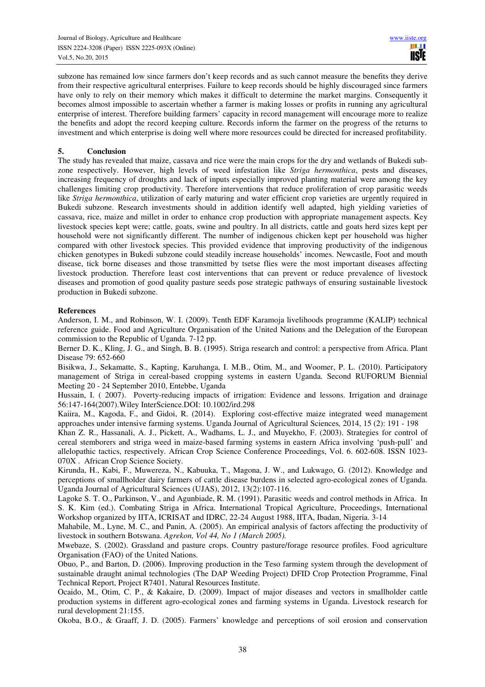subzone has remained low since farmers don't keep records and as such cannot measure the benefits they derive from their respective agricultural enterprises. Failure to keep records should be highly discouraged since farmers have only to rely on their memory which makes it difficult to determine the market margins. Consequently it becomes almost impossible to ascertain whether a farmer is making losses or profits in running any agricultural enterprise of interest. Therefore building farmers' capacity in record management will encourage more to realize the benefits and adopt the record keeping culture. Records inform the farmer on the progress of the returns to investment and which enterprise is doing well where more resources could be directed for increased profitability.

## **5. Conclusion**

The study has revealed that maize, cassava and rice were the main crops for the dry and wetlands of Bukedi subzone respectively. However, high levels of weed infestation like *Striga hermonthica*, pests and diseases, increasing frequency of droughts and lack of inputs especially improved planting material were among the key challenges limiting crop productivity. Therefore interventions that reduce proliferation of crop parasitic weeds like *Striga hermonthica*, utilization of early maturing and water efficient crop varieties are urgently required in Bukedi subzone. Research investments should in addition identify well adapted, high yielding varieties of cassava, rice, maize and millet in order to enhance crop production with appropriate management aspects. Key livestock species kept were; cattle, goats, swine and poultry. In all districts, cattle and goats herd sizes kept per household were not significantly different. The number of indigenous chicken kept per household was higher compared with other livestock species. This provided evidence that improving productivity of the indigenous chicken genotypes in Bukedi subzone could steadily increase households' incomes. Newcastle, Foot and mouth disease, tick borne diseases and those transmitted by tsetse flies were the most important diseases affecting livestock production. Therefore least cost interventions that can prevent or reduce prevalence of livestock diseases and promotion of good quality pasture seeds pose strategic pathways of ensuring sustainable livestock production in Bukedi subzone.

## **References**

Anderson, I. M., and Robinson, W. I. (2009). Tenth EDF Karamoja livelihoods programme (KALIP) technical reference guide. Food and Agriculture Organisation of the United Nations and the Delegation of the European commission to the Republic of Uganda. 7-12 pp.

Berner D. K., Kling, J. G., and Singh, B. B. (1995). Striga research and control: a perspective from Africa. Plant Disease 79: 652-660

Bisikwa, J., Sekamatte, S., Kapting, Karuhanga, I. M.B., Otim, M., and Woomer, P. L. (2010). Participatory management of Striga in cereal-based cropping systems in eastern Uganda. Second RUFORUM Biennial Meeting 20 - 24 September 2010, Entebbe, Uganda

Hussain, I. ( 2007). Poverty-reducing impacts of irrigation: Evidence and lessons. Irrigation and drainage 56:147-164(2007).Wiley InterScience.DOI: 10.1002/ird.298

Kaiira, M., Kagoda, F., and Gidoi, R. (2014).Exploring cost-effective maize integrated weed management approaches under intensive farming systems. Uganda Journal of Agricultural Sciences*,* 2014, 15 (2): 191 - 198

Khan Z. R., Hassanali, A. J., Pickett, A., Wadhams, L. J., and Muyekho, F. (2003). Strategies for control of cereal stemborers and striga weed in maize-based farming systems in eastern Africa involving 'push-pull' and allelopathic tactics, respectively. African Crop Science Conference Proceedings, Vol. 6. 602-608. ISSN 1023- 070X . African Crop Science Society.

Kirunda, H., Kabi, F., Muwereza, N., Kabuuka, T., Magona, J. W., and Lukwago, G. (2012). Knowledge and perceptions of smallholder dairy farmers of cattle disease burdens in selected agro-ecological zones of Uganda. Uganda Journal of Agricultural Sciences (UJAS), 2012, 13(2):107-116.

Lagoke S. T. O., Parkinson, V., and Agunbiade, R. M. (1991). Parasitic weeds and control methods in Africa. In S. K. Kim (ed.). Combating Striga in Africa. International Tropical Agriculture, Proceedings, International Workshop organized by IITA, ICRISAT and IDRC, 22-24 August 1988, IITA, Ibadan, Nigeria. 3-14

Mahabile, M., Lyne, M. C., and Panin, A. (2005). An empirical analysis of factors affecting the productivity of livestock in southern Botswana. *Agrekon, Vol 44, No 1 (March 2005).* 

Mwebaze, S. (2002). Grassland and pasture crops. Country pasture/forage resource profiles. Food agriculture Organisation (FAO) of the United Nations.

Obuo, P., and Barton, D. (2006). Improving production in the Teso farming system through the development of sustainable draught animal technologies (The DAP Weeding Project) DFID Crop Protection Programme, Final Technical Report, Project R7401. Natural Resources Institute.

Ocaido, M., Otim, C. P., & Kakaire, D. (2009). Impact of major diseases and vectors in smallholder cattle production systems in different agro-ecological zones and farming systems in Uganda. Livestock research for rural development 21:155.

Okoba, B.O., & Graaff, J. D. (2005). Farmers' knowledge and perceptions of soil erosion and conservation